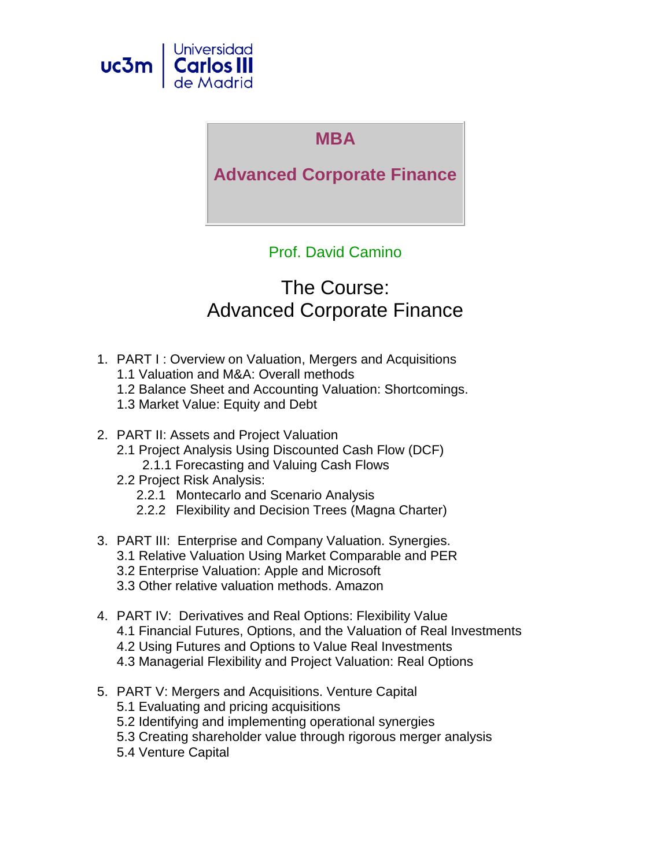

## **MBA**

## **Advanced Corporate Finance**

## Prof. David Camino

# The Course: Advanced Corporate Finance

- 1. PART I : Overview on Valuation, Mergers and Acquisitions
	- 1.1 Valuation and M&A: Overall methods
	- 1.2 Balance Sheet and Accounting Valuation: Shortcomings.
	- 1.3 Market Value: Equity and Debt
- 2. PART II: Assets and Project Valuation
	- 2.1 Project Analysis Using Discounted Cash Flow (DCF) 2.1.1 Forecasting and Valuing Cash Flows
	- 2.2 Project Risk Analysis:
		- 2.2.1 Montecarlo and Scenario Analysis
		- 2.2.2 Flexibility and Decision Trees (Magna Charter)
- 3. PART III: Enterprise and Company Valuation. Synergies. 3.1 Relative Valuation Using Market Comparable and PER
	- 3.2 Enterprise Valuation: Apple and Microsoft
	- 3.3 Other relative valuation methods. Amazon
- 4. PART IV: Derivatives and Real Options: Flexibility Value 4.1 Financial Futures, Options, and the Valuation of Real Investments 4.2 Using Futures and Options to Value Real Investments 4.3 Managerial Flexibility and Project Valuation: Real Options
- 5. PART V: Mergers and Acquisitions. Venture Capital
	- 5.1 Evaluating and pricing acquisitions
	- 5.2 Identifying and implementing operational synergies
	- 5.3 Creating shareholder value through rigorous merger analysis
	- 5.4 Venture Capital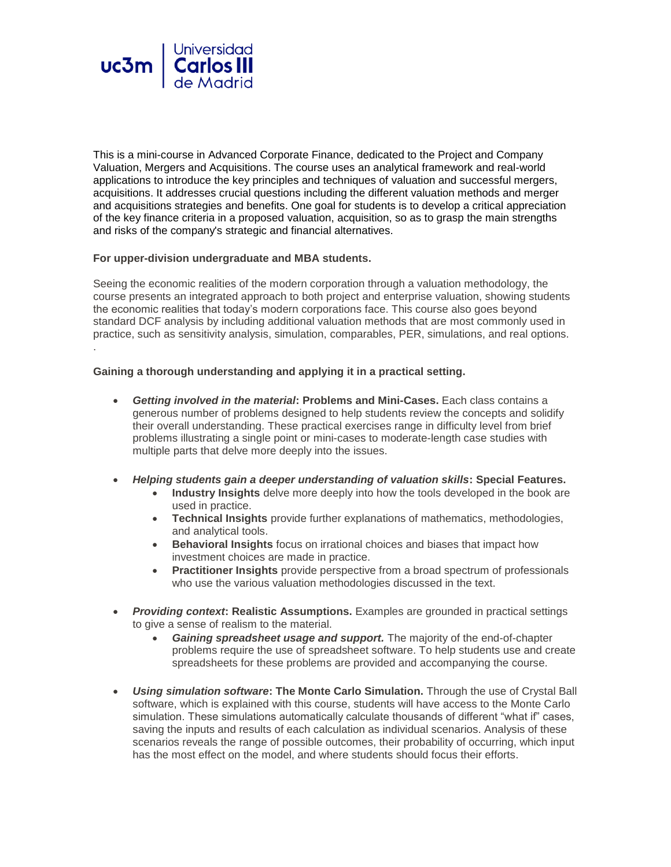

This is a mini-course in Advanced Corporate Finance, dedicated to the Project and Company Valuation, Mergers and Acquisitions. The course uses an analytical framework and real-world applications to introduce the key principles and techniques of valuation and successful mergers, acquisitions. It addresses crucial questions including the different valuation methods and merger and acquisitions strategies and benefits. One goal for students is to develop a critical appreciation of the key finance criteria in a proposed valuation, acquisition, so as to grasp the main strengths and risks of the company's strategic and financial alternatives.

#### **For upper-division undergraduate and MBA students.**

Seeing the economic realities of the modern corporation through a valuation methodology, the course presents an integrated approach to both project and enterprise valuation, showing students the economic realities that today's modern corporations face. This course also goes beyond standard DCF analysis by including additional valuation methods that are most commonly used in practice, such as sensitivity analysis, simulation, comparables, PER, simulations, and real options. .

#### **Gaining a thorough understanding and applying it in a practical setting.**

- *Getting involved in the material***: Problems and Mini-Cases.** Each class contains a generous number of problems designed to help students review the concepts and solidify their overall understanding. These practical exercises range in difficulty level from brief problems illustrating a single point or mini-cases to moderate-length case studies with multiple parts that delve more deeply into the issues.
- *Helping students gain a deeper understanding of valuation skills***: Special Features.**
	- **Industry Insights** delve more deeply into how the tools developed in the book are used in practice.
	- **Technical Insights** provide further explanations of mathematics, methodologies, and analytical tools.
	- **Behavioral Insights** focus on irrational choices and biases that impact how investment choices are made in practice.
	- **Practitioner Insights** provide perspective from a broad spectrum of professionals who use the various valuation methodologies discussed in the text.
- **Providing context: Realistic Assumptions.** Examples are grounded in practical settings to give a sense of realism to the material.
	- *Gaining spreadsheet usage and support.* The majority of the end-of-chapter problems require the use of spreadsheet software. To help students use and create spreadsheets for these problems are provided and accompanying the course.
- *Using simulation software***: The Monte Carlo Simulation.** Through the use of Crystal Ball software, which is explained with this course, students will have access to the Monte Carlo simulation. These simulations automatically calculate thousands of different "what if" cases, saving the inputs and results of each calculation as individual scenarios. Analysis of these scenarios reveals the range of possible outcomes, their probability of occurring, which input has the most effect on the model, and where students should focus their efforts.